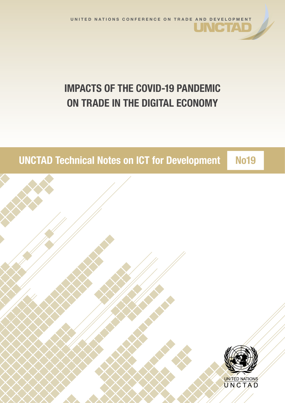# IMPACTS OF THE COVID-19 PANDEMIC ON TRADE IN THE DIGITAL ECONOMY

# UNCTAD Technical Notes on ICT for Development No19

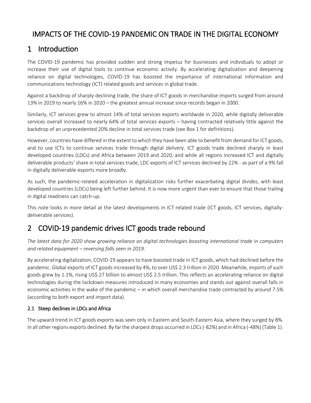# IMPACTS OF THE COVID-19 PANDEMIC ON TRADE IN THE DIGITAL ECONOMY

### 1 Introduction

The COVID-19 pandemic has provided sudden and strong impetus for businesses and individuals to adopt or increase their use of digital tools to continue economic activity. By accelerating digitalization and deepening reliance on digital technologies, COVID-19 has boosted the importance of international information and communications technology (ICT) related goods and services in global trade.

Against a backdrop of sharply declining trade, the share of ICT goods in merchandise imports surged from around 13% in 2019 to nearly 16% in 2020 – the greatest annual increase since records began in 2000.

Similarly, ICT services grew to almost 14% of total services exports worldwide in 2020, while digitally deliverable services overall increased to nearly 64% of total services exports – having contracted relatively little against the backdrop of an unprecedented 20% decline in total services trade (see Box 1 for definitions).

However, countries have differed in the extent to which they have been able to benefit from demand for ICT goods, and to use ICTs to continue services trade through digital delivery. ICT goods trade declined sharply in least developed countries (LDCs) and Africa between 2019 and 2020, and while all regions increased ICT and digitally deliverable products' share in total services trade, LDC exports of ICT services declined by 22% - as part of a 9% fall in digitally deliverable exports more broadly.

As such, the pandemic-related acceleration in digitalization risks further exacerbating digital divides, with least developed countries (LDCs) being left further behind. It is now more urgent than ever to ensure that those trailing in digital readiness can catch-up.

This note looks in more detail at the latest developments in ICT-related trade (ICT goods, ICT services, digitallydeliverable services).

## 2 COVID-19 pandemic drives ICT goods trade rebound

*The latest data for 2020 show growing reliance on digital technologies boosting international trade in computers and related equipment – reversing falls seen in 2019.*

By accelerating digitalization, COVID-19 appears to have boosted trade in ICT goods, which had declined before the pandemic. Global exports of ICT goods increased by 4%, to over US\$ 2.3 trillion in 2020. Meanwhile, imports of such goods grew by 1.1%, rising US\$ 27 billion to almost US\$ 2.5 trillion. This reflects an accelerating reliance on digital technologies during the lockdown measures introduced in many economies and stands out against overall falls in economic activities in the wake of the pandemic – in which overall merchandise trade contracted by around 7.5% (according to both export and import data).

### 2.1 Steep declines in LDCs and Africa

The upward trend in ICT goods exports was seen only in Eastern and South-Eastern Asia, where they surged by 8%. In all other regions exports declined. By far the sharpest drops occurred in LDCs (-82%) and in Africa (-48%) (Table 1).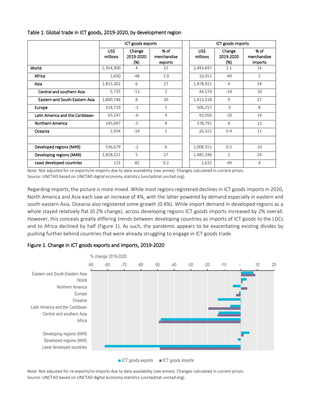|                                 | ICT goods exports |                            |                                |  | ICT goods imports |                            |                                |  |
|---------------------------------|-------------------|----------------------------|--------------------------------|--|-------------------|----------------------------|--------------------------------|--|
|                                 | US\$<br>millions  | Change<br>2019-2020<br>(%) | % of<br>merchandise<br>exports |  | US\$<br>millions  | Change<br>2019-2020<br>(%) | % of<br>merchandise<br>imports |  |
| World                           | 2,354,900         | 4                          | 15                             |  | 2,493,697         | 1.1                        | 16                             |  |
| Africa                          | 1,650             | $-48$                      | 1.0                            |  | 10,351            | $-49$                      | 5                              |  |
| Asia                            | 1,815,302         | 6                          | 27                             |  | 1,478,921         | 4                          | 24                             |  |
| Central and southern Asia       | 5,735             | $-13$                      | $\overline{2}$                 |  | 44,574            | $-14$                      | 10                             |  |
| Eastern and South-Eastern Asia  | 1,800,746         | 8                          | 30                             |  | 1,413,318         | 9                          | 27                             |  |
| Europe                          | 324,719           | $-1$                       | 5                              |  | 506,257           | $-3$                       | 8                              |  |
| Latin America and the Caribbean | 65,247            | $-6$                       | 9                              |  | 93,056            | $-20$                      | 14                             |  |
| Northern America                | 145,047           | $-5$                       | 8                              |  | 378,791           | 4                          | 13                             |  |
| Oceania                         | 2,934             | $-14$                      | $\mathbf{1}$                   |  | 26,322            | 0.4                        | 11                             |  |
|                                 |                   |                            |                                |  |                   |                            |                                |  |
| Developed regions (M49)         | 536,679           | $-2$                       | 6                              |  | 1,008,351         | 0.2                        | 10                             |  |
| Developing regions (M49)        | 1,818,221         | 5                          | 27                             |  | 1,485,346         | $\overline{2}$             | 24                             |  |
| Least developed countries       | 115               | $-82$                      | 0.2                            |  | 1,632             | $-49$                      | 4                              |  |

### Table 1. Global trade in ICT goods, 2019-2020, by development region

Note: Not adjusted for re-exports/re-imports due to data availability (see annex). Changes calculated in current prices. Source: UNCTAD based on UNCTAD digital economy statistics (unctadstat.unctad.org).

Regarding imports, the picture is more mixed. While most regions registered declines in ICT goods imports in 2020, North America and Asia each saw an increase of 4%, with the latter powered by demand especially in eastern and south-eastern Asia. Oceania also registered some growth (0.4%). While import demand in developed regions as a whole stayed relatively flat (0.2% change), across developing regions ICT goods imports increased by 2% overall. However, this conceals greatly differing trends between developing countries as imports of ICT goods to the LDCs and to Africa declined by half (Figure 1). As such, the pandemic appears to be exacerbating existing divides by pushing further behind countries that were already struggling to engage in ICT goods trade.

### Figure 1. Change in ICT goods exports and imports, 2019-2020



Note: Not adjusted for re-exports/re-imports due to data availability (see annex). Changes calculated in current prices. Source: UNCTAD based on UNCTAD digital economy statistics (unctadstat.unctad.org).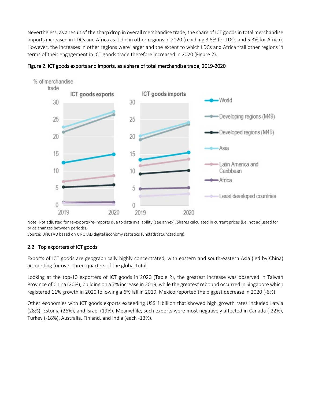Nevertheless, as a result of the sharp drop in overall merchandise trade, the share of ICT goods in total merchandise imports increased in LDCs and Africa as it did in other regions in 2020 (reaching 3.5% for LDCs and 5.3% for Africa). However, the increases in other regions were larger and the extent to which LDCs and Africa trail other regions in terms of their engagement in ICT goods trade therefore increased in 2020 (Figure 2).





price changes between periods).

Source: UNCTAD based on UNCTAD digital economy statistics (unctadstat.unctad.org).

### 2.2 Top exporters of ICT goods

Exports of ICT goods are geographically highly concentrated, with eastern and south-eastern Asia (led by China) accounting for over three-quarters of the global total.

Looking at the top-10 exporters of ICT goods in 2020 (Table 2), the greatest increase was observed in Taiwan Province of China (20%), building on a 7% increase in 2019, while the greatest rebound occurred in Singapore which registered 11% growth in 2020 following a 6% fall in 2019. Mexico reported the biggest decrease in 2020 (-6%).

Other economies with ICT goods exports exceeding US\$ 1 billion that showed high growth rates included Latvia (28%), Estonia (26%), and Israel (19%). Meanwhile, such exports were most negatively affected in Canada (-22%), Turkey (-18%), Australia, Finland, and India (each -13%).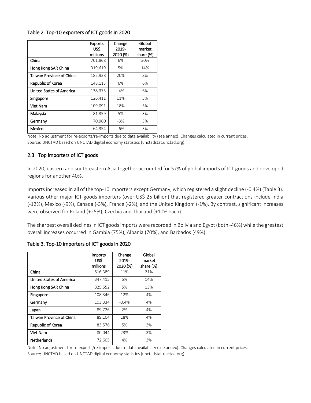### Table 2. Top-10 exporters of ICT goods in 2020

|                                 | <b>Exports</b><br>US\$<br>millions | Change<br>2019-<br>2020 (%) | Global<br>market<br>share (%) |
|---------------------------------|------------------------------------|-----------------------------|-------------------------------|
| China                           | 701,868                            | 6%                          | 30%                           |
| Hong Kong SAR China             | 319,619                            | 5%                          | 14%                           |
| <b>Taiwan Province of China</b> | 182,938                            | 20%                         | 8%                            |
| Republic of Korea               | 148,113                            | 6%                          | 6%                            |
| <b>United States of America</b> | 138,375                            | $-4%$                       | 6%                            |
| Singapore                       | 126,411                            | 11%                         | 5%                            |
| Viet Nam                        | 109,091                            | 18%                         | 5%                            |
| Malaysia                        | 81,359                             | 5%                          | 3%                            |
| Germany                         | 70,960                             | $-3%$                       | 3%                            |
| Mexico                          | 64,354                             | $-6%$                       | 3%                            |

Note: No adjustment for re-exports/re-imports due to data availability (see annex). Changes calculated in current prices. Source: UNCTAD based on UNCTAD digital economy statistics (unctadstat.unctad.org).

### 2.3 Top importers of ICT goods

In 2020, eastern and south-eastern Asia together accounted for 57% of global imports of ICT goods and developed regions for another 40%.

Imports increased in all of the top-10 importers except Germany, which registered a slight decline (-0.4%) (Table 3). Various other major ICT goods importers (over US\$ 25 billion) that registered greater contractions include India (-12%), Mexico (-9%), Canada (-3%), France (-2%), and the United Kingdom (-1%). By contrast, significant increases were observed for Poland (+25%), Czechia and Thailand (+10% each).

The sharpest overall declines in ICT goods imports were recorded in Bolivia and Egypt (both -46%) while the greatest overall increases occurred in Gambia (75%), Albania (70%), and Barbados (49%).

|                                 | <b>Imports</b><br>US\$<br>millions | Change<br>2019-<br>2020 (%) | Global<br>market<br>share (%) |
|---------------------------------|------------------------------------|-----------------------------|-------------------------------|
| China                           | 516,389                            | 11%                         | 21%                           |
| <b>United States of America</b> | 347,415                            | 5%                          | 14%                           |
| Hong Kong SAR China             | 325,552                            | 5%                          | 13%                           |
| Singapore                       | 108,346                            | 12%                         | 4%                            |
| Germany                         | 103,334                            | $-0.4%$                     | 4%                            |
| Japan                           | 89,726                             | 2%                          | 4%                            |
| <b>Taiwan Province of China</b> | 89,104                             | 18%                         | 4%                            |
| Republic of Korea               | 83,576                             | 5%                          | 3%                            |
| <b>Viet Nam</b>                 | 80,044                             | 23%                         | 3%                            |
| <b>Netherlands</b>              | 72,605                             | 4%                          | 3%                            |

Table 3. Top-10 importers of ICT goods in 2020

Note*:* No adjustment for re-exports/re-imports due to data availability (see annex). Changes calculated in current prices. Source: UNCTAD based on UNCTAD digital economy statistics (unctadstat.unctad.org).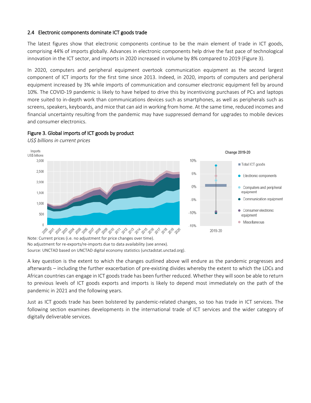### 2.4 Electronic components dominate ICT goods trade

The latest figures show that electronic components continue to be the main element of trade in ICT goods, comprising 44% of imports globally. Advances in electronic components help drive the fast pace of technological innovation in the ICT sector, and imports in 2020 increased in volume by 8% compared to 2019 (Figure 3).

In 2020, computers and peripheral equipment overtook communication equipment as the second largest component of ICT imports for the first time since 2013. Indeed, in 2020, imports of computers and peripheral equipment increased by 3% while imports of communication and consumer electronic equipment fell by around 10%. The COVID-19 pandemic is likely to have helped to drive this by incentivizing purchases of PCs and laptops more suited to in-depth work than communications devices such as smartphones, as well as peripherals such as screens, speakers, keyboards, and mice that can aid in working from home. At the same time, reduced incomes and financial uncertainty resulting from the pandemic may have suppressed demand for upgrades to mobile devices and consumer electronics.



### Figure 3. Global imports of ICT goods by product

*US\$ billions in current prices*

Note: Current prices (i.e. no adjustment for price changes over time). No adjustment for re-exports/re-imports due to data availability (see annex). Source: UNCTAD based on UNCTAD digital economy statistics (unctadstat.unctad.org).

A key question is the extent to which the changes outlined above will endure as the pandemic progresses and afterwards – including the further exacerbation of pre-existing divides whereby the extent to which the LDCs and African countries can engage in ICT goods trade has been further reduced. Whether they will soon be able to return to previous levels of ICT goods exports and imports is likely to depend most immediately on the path of the pandemic in 2021 and the following years.

Just as ICT goods trade has been bolstered by pandemic-related changes, so too has trade in ICT services. The following section examines developments in the international trade of ICT services and the wider category of digitally deliverable services.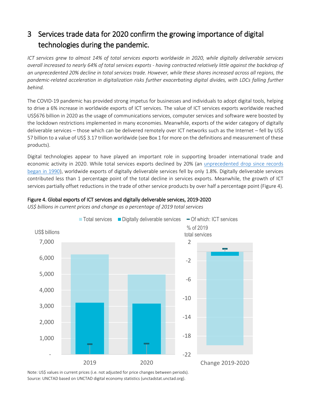# 3 Services trade data for 2020 confirm the growing importance of digital technologies during the pandemic.

*ICT services grew to almost 14% of total services exports worldwide in 2020, while digitally deliverable services overall increased to nearly 64% of total services exports - having contracted relatively little against the backdrop of an unprecedented 20% decline in total services trade. However, while these shares increased across all regions, the pandemic-related acceleration in digitalization risks further exacerbating digital divides, with LDCs falling further behind.*

The COVID-19 pandemic has provided strong impetus for businesses and individuals to adopt digital tools, helping to drive a 6% increase in worldwide exports of ICT services. The value of ICT services exports worldwide reached US\$676 billion in 2020 as the usage of communications services, computer services and software were boosted by the lockdown restrictions implemented in many economies. Meanwhile, exports of the wider category of digitally deliverable services – those which can be delivered remotely over ICT networks such as the Internet – fell by US\$ 57 billion to a value of US\$ 3.17 trillion worldwide (see Box 1 for more on the definitions and measurement of these products).

Digital technologies appear to have played an important role in supporting broader international trade and economic activity in 2020. While total services exports declined by 20% (an [unprecedented drop since records](https://unctad.org/news/covid-19-drives-large-international-trade-declines-2020)  [began in 1990\)](https://unctad.org/news/covid-19-drives-large-international-trade-declines-2020), worldwide exports of digitally deliverable services fell by only 1.8%. Digitally deliverable services contributed less than 1 percentage point of the total decline in services exports. Meanwhile, the growth of ICT services partially offset reductions in the trade of other service products by over half a percentage point (Figure 4).



Figure 4. Global exports of ICT services and digitally deliverable services, 2019-2020

*US\$ billions in current prices and change as a percentage of 2019 total services*

Note: US\$ values in current prices (i.e. not adjusted for price changes between periods). Source: UNCTAD based on UNCTAD digital economy statistics (unctadstat.unctad.org).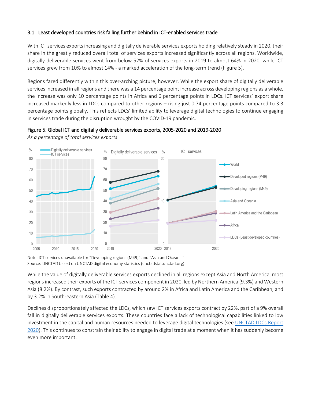### 3.1 Least developed countries risk falling further behind in ICT-enabled services trade

Figure 5. Global ICT and digitally deliverable services exports, 2005-2020 and 2019-2020

With ICT services exports increasing and digitally deliverable services exports holding relatively steady in 2020, their share in the greatly reduced overall total of services exports increased significantly across all regions. Worldwide, digitally deliverable services went from below 52% of services exports in 2019 to almost 64% in 2020, while ICT services grew from 10% to almost 14% - a marked acceleration of the long-term trend (Figure 5).

Regions fared differently within this over-arching picture, however. While the export share of digitally deliverable services increased in all regions and there was a 14 percentage point increase across developing regions as a whole, the increase was only 10 percentage points in Africa and 6 percentage points in LDCs. ICT services' export share increased markedly less in LDCs compared to other regions – rising just 0.74 percentage points compared to 3.3 percentage points globally. This reflects LDCs' limited ability to leverage digital technologies to continue engaging in services trade during the disruption wrought by the COVID-19 pandemic.



*As a percentage of total services exports*

Note: ICT services unavailable for "Developing regions (M49)" and "Asia and Oceania". Source: UNCTAD based on UNCTAD digital economy statistics (unctadstat.unctad.org).

While the value of digitally deliverable services exports declined in all regions except Asia and North America, most regions increased their exports of the ICT services component in 2020, led by Northern America (9.3%) and Western Asia (8.2%). By contrast, such exports contracted by around 2% in Africa and Latin America and the Caribbean, and by 3.2% in South-eastern Asia (Table 4).

Declines disproportionately affected the LDCs, which saw ICT services exports contract by 22%, part of a 9% overall fall in digitally deliverable services exports. These countries face a lack of technological capabilities linked to low investment in the capital and human resources needed to leverage digital technologies (see UNCTAD [LDCs Report](https://unctad.org/system/files/official-document/ldcr2020_en.pdf)  [2020\)](https://unctad.org/system/files/official-document/ldcr2020_en.pdf). This continues to constrain their ability to engage in digital trade at a moment when it has suddenly become even more important.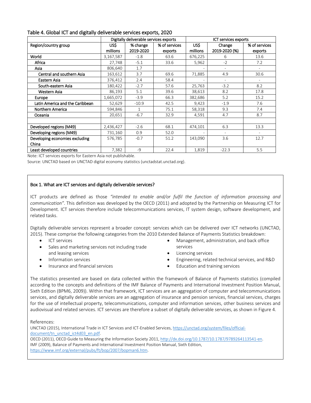|                                 |           | Digitally deliverable services exports |               | ICT services exports     |                          |                          |
|---------------------------------|-----------|----------------------------------------|---------------|--------------------------|--------------------------|--------------------------|
| Region/country group            | US\$      | % change                               | % of services | US\$<br>Change           |                          | % of services            |
|                                 | millions  | 2019-2020                              | exports       | millions                 | 2019-2020 (%)            | exports                  |
| World                           | 3,167,587 | $-1.8$                                 | 63.6          | 676,225                  | 6                        | 13.6                     |
| Africa                          | 27,748    | $-5.1$                                 | 33.6          | 5,962                    | $-2$                     | 7.2                      |
| Asia                            | 806,640   | 1.7                                    |               |                          |                          |                          |
| Central and southern Asia       | 163,612   | 3.7                                    | 69.6          | 71,885                   | 4.9                      | 30.6                     |
| Eastern Asia                    | 376,412   | 2.4                                    | 58.4          | $\overline{\phantom{a}}$ | $\overline{\phantom{a}}$ | $\overline{\phantom{a}}$ |
| South-eastern Asia              | 180,422   | $-2.7$                                 | 57.6          | 25,763                   | $-3.2$                   | 8.2                      |
| Western Asia                    | 86,193    | 5.1                                    | 39.6          | 38,613                   | 8.2                      | 17.8                     |
| Europe                          | 1,665,072 | $-3.9$                                 | 66.3          | 382,686                  | 5.2                      | 15.2                     |
| Latin America and the Caribbean | 52,629    | $-10.9$                                | 42.5          | 9,423                    | $-1.9$                   | 7.6                      |
| Northern America                | 594,846   | 1                                      | 75.1          | 58,318                   | 9.3                      | 7.4                      |
| Oceania                         | 20,651    | $-6.7$                                 | 32.9          | 4,591                    | 4.7                      | 8.7                      |
|                                 |           |                                        |               |                          |                          |                          |
| Developed regions (M49)         | 2,436,427 | $-2.6$                                 | 68.1          | 474,101                  | 6.3                      | 13.3                     |
| Developing regions (M49)        | 731,160   | 0.9                                    | 52.0          |                          | $\overline{a}$           |                          |
| Developing economies excluding  | 576,785   | $-0.7$                                 | 51.2          | 143,090                  | 3.6                      | 12.7                     |
| China                           |           |                                        |               |                          |                          |                          |
| Least developed countries       | 7,382     | $-9$                                   | 22.4          | 1,819                    | $-22.3$                  | 5.5                      |

Table 4. Global ICT and digitally deliverable services exports, 2020

Note: ICT services exports for Eastern Asia not publishable.

Source: UNCTAD based on UNCTAD digital economy statistics (unctadstat.unctad.org).

#### Box 1. What are ICT services and digitally deliverable services?

ICT products are defined as those *"intended to enable and/or fulfil the function of information processing and communication"*. This definition was developed by the OECD (2011) and adopted by the Partnership on Measuring ICT for Development. ICT services therefore include telecommunications services, IT system design, software development, and related tasks.

Digitally deliverable services represent a broader concept: services which can be delivered over ICT networks (UNCTAD, 2015). These comprise the following categories from the 2010 Extended Balance of Payments Statistics breakdown:

- ICT services
- Sales and marketing services not including trade and leasing services
- Information services
- Insurance and financial services
- Management, administration, and back office services
- Licencing services
- Engineering, related technical services, and R&D
- Education and training services

The statistics presented are based on data collected within the framework of Balance of Payments statistics (compiled according to the concepts and definitions of the IMF Balance of Payments and International Investment Position Manual, Sixth Edition (BPM6, 2009)). Within that framework, ICT services are an aggregation of computer and telecommunications services, and digitally deliverable services are an aggregation of insurance and pension services, financial services, charges for the use of intellectual property, telecommunications, computer and information services, other business services and audiovisual and related services. ICT services are therefore a subset of digitally deliverable services, as shown in Figure 4.

#### References:

UNCTAD (2015), International Trade in ICT Services and ICT-Enabled Services[, https://unctad.org/system/files/official](https://unctad.org/system/files/official-document/tn_unctad_ict4d03_en.pdf)document/tn\_unctad\_ict4d03\_en.pdf. OECD (2011), OECD Guide to Measuring the Information Society 2011, [http://dx.doi.org/10.1787/10.1787/9789264113541-en.](http://dx.doi.org/10.1787/10.1787/9789264113541-en)  IMF (2009), Balance of Payments and International Investment Position Manual, Sixth Edition, [https://www.imf.org/external/pubs/ft/bop/2007/bopman6.htm.](https://www.imf.org/external/pubs/ft/bop/2007/bopman6.htm)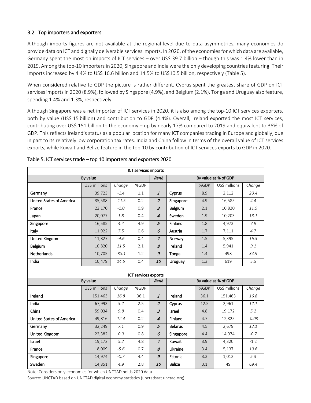### 3.2 Top importers and exporters

Although imports figures are not available at the regional level due to data asymmetries, many economies do provide data on ICT and digitally deliverable services imports. In 2020, of the economiesfor which data are available, Germany spent the most on imports of ICT services – over US\$ 39.7 billion – though this was 1.4% lower than in 2019. Among the top-10 importers in 2020, Singapore and India were the only developing countries featuring. Their imports increased by 4.4% to US\$ 16.6 billion and 14.5% to US\$10.5 billion, respectively (Table 5).

When considered relative to GDP the picture is rather different. Cyprus spent the greatest share of GDP on ICT services importsin 2020 (8.9%), followed by Singapore (4.9%), and Belgium (2.1%). Tonga and Uruguay also feature, spending 1.4% and 1.3%, respectively.

Although Singapore was a net importer of ICT services in 2020, it is also among the top-10 ICT services exporters, both by value (US\$ 15 billion) and contribution to GDP (4.4%). Overall, Ireland exported the most ICT services, contributing over US\$ 151 billion to the economy – up by nearly 17% compared to 2019 and equivalent to 36% of GDP. This reflects Ireland's status as a popular location for many ICT companies trading in Europe and globally, due in part to its relatively low corporation tax rates. India and China follow in terms of the overall value of ICT services exports, while Kuwait and Belize feature in the top-10 by contribution of ICT services exports to GDP in 2020.

| ICT services imports            |               |         |                      |                           |                      |      |               |         |  |
|---------------------------------|---------------|---------|----------------------|---------------------------|----------------------|------|---------------|---------|--|
| By value                        |               |         |                      | Rank                      | By value as % of GDP |      |               |         |  |
|                                 | US\$ millions | Change  | %GDP                 |                           |                      | %GDP | US\$ millions | Change  |  |
| Germany                         | 39,723        | $-1.4$  | 1.1                  | $\boldsymbol{\mathit{1}}$ | Cyprus               | 8.9  | 2,112         | 20.4    |  |
| <b>United States of America</b> | 35,588        | $-11.5$ | 0.2                  | $\overline{z}$            | Singapore            | 4.9  | 16,585        | 4.4     |  |
| France                          | 22,170        | $-1.0$  | 0.9                  | $\boldsymbol{\beta}$      | Belgium              | 2.1  | 10,820        | 11.5    |  |
| Japan                           | 20,077        | 1.8     | 0.4                  | $\overline{4}$            | Sweden               | 1.9  | 10,203        | 13.1    |  |
| Singapore                       | 16,585        | 4.4     | 4.9                  | 5                         | Finland              | 1.8  | 4,973         | 7.9     |  |
| Italy                           | 11,922        | 7.5     | 0.6                  | 6                         | Austria              | 1.7  | 7,111         | 4.7     |  |
| United Kingdom                  | 11,827        | $-4.6$  | 0.4                  | $\overline{z}$            | Norway               | 1.5  | 5,395         | 16.3    |  |
| Belgium                         | 10,820        | 11.5    | 2.1                  | 8                         | Ireland              | 1.4  | 5,941         | 9.1     |  |
| Netherlands                     | 10,705        | $-38.1$ | 1.2                  | $\mathcal G$              | Tonga                | 1.4  | 498           | 34.9    |  |
| India                           | 10,479        | 14.5    | 0.4                  | <i>10</i>                 | Uruguay              | 1.3  | 619           | 5.5     |  |
|                                 |               |         | ICT services exports |                           |                      |      |               |         |  |
|                                 | By value      |         |                      | Rank                      | By value as % of GDP |      |               |         |  |
|                                 | US\$ millions | Change  | %GDP                 |                           |                      | %GDP | US\$ millions | Change  |  |
| Ireland                         | 151,463       | 16.8    | 36.1                 | $\mathbf{1}$              | Ireland              | 36.1 | 151,463       | 16.8    |  |
| India                           | 67,993        | 5.2     | 2.5                  | $\overline{2}$            | Cyprus               | 12.5 | 2,961         | 12.1    |  |
| China                           | 59,034        | 9.8     | 0.4                  | $\overline{3}$            | Israel               | 4.8  | 19,172        | 5.2     |  |
| <b>United States of America</b> | 49,816        | 12.4    | 0.2                  | $\overline{4}$            | Finland              | 4.7  | 12,825        | $-0.03$ |  |
| Germany                         | 32,249        | 7.1     | 0.9                  | 5                         | <b>Belarus</b>       | 4.5  | 2,679         | 12.1    |  |
| United Kingdom                  | 22,382        | 0.9     | 0.8                  | 6                         | Singapore            | 4.4  | 14,974        | $-0.7$  |  |
| Israel                          | 19,172        | 5.2     | 4.8                  | $\overline{z}$            | Kuwait               | 3.9  | 4,320         | $-1.2$  |  |
| France                          | 18,009        | $-5.6$  | 0.7                  | 8                         | Ukraine              | 3.4  | 5,137         | 19.6    |  |
| Singapore                       | 14,974        | $-0.7$  | 4.4                  | 9                         | Estonia              | 3.3  | 1,012         | 5.3     |  |
| Sweden                          | 14,851        | 4.9     | 2.8                  | <i>10</i>                 | <b>Belize</b>        | 3.1  | 49            | 69.4    |  |

### Table 5. ICT services trade – top 10 importers and exporters 2020

Note: Considers only economies for which UNCTAD holds 2020 data.

Source: UNCTAD based on UNCTAD digital economy statistics (unctadstat.unctad.org).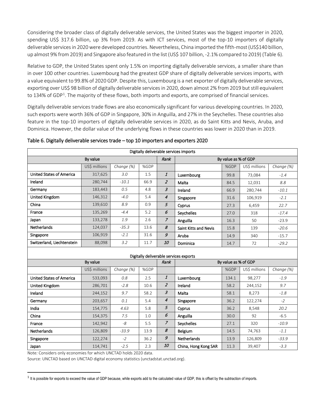Considering the broader class of digitally deliverable services, the United States was the biggest importer in 2020, spending US\$ 317.6 billion, up 3% from 2019. As with ICT services, most of the top-10 importers of digitally deliverable servicesin 2020 were developed countries. Nevertheless, China imported the fifth-most (US\$140 billion, up almost 9% from 2019) and Singapore also featured in the list (US\$ 107 billion, -2.1% compared to 2019) (Table 6).

Relative to GDP, the United States spent only 1.5% on importing digitally deliverable services, a smaller share than in over 100 other countries. Luxembourg had the greatest GDP share of digitally deliverable services imports, with a value equivalent to 99.8% of 2020 GDP. Despite this, Luxembourg is a net exporter of digitally deliverable services, exporting over US\$ 98 billion of digitally deliverable services in 2020, down almost 2% from 2019 but still equivalent to [1](#page-11-0)34% of GDP<sup>1</sup>. The majority of these flows, both imports and exports, are comprised of financial services.

Digitally deliverable services trade flows are also economically significant for various developing countries. In 2020, such exports were worth 36% of GDP in Singapore, 30% in Anguilla, and 27% in the Seychelles. These countries also feature in the top-10 importers of digitally deliverable services in 2020, as do Saint Kitts and Nevis, Aruba, and Dominica. However, the dollar value of the underlying flows in these countries was lower in 2020 than in 2019.

| Digitally deliverable services imports |               |            |      |                |                       |                      |               |            |  |  |
|----------------------------------------|---------------|------------|------|----------------|-----------------------|----------------------|---------------|------------|--|--|
| By value                               |               |            |      | Rank           | By value as % of GDP  |                      |               |            |  |  |
|                                        | US\$ millions | Change (%) | %GDP |                |                       | %GDP                 | US\$ millions | Change (%) |  |  |
| <b>United States of America</b>        | 317,625       | 3.0        | 1.5  | 1              | Luxembourg            | 99.8                 | 73,084        | $-1.4$     |  |  |
| Ireland                                | 280,744       | $-10.1$    | 66.9 | $\overline{z}$ | Malta                 | 84.5                 | 12,031        | 8.8        |  |  |
| Germany                                | 183,443       | 0.5        | 4.8  | 3              | Ireland               | 66.9                 | 280,744       | $-10.1$    |  |  |
| United Kingdom                         | 146,312       | $-4.0$     | 5.4  | 4              | Singapore             | 31.6                 | 106,919       | $-2.1$     |  |  |
| China                                  | 139,610       | 8.9        | 0.9  | 5              | Cyprus                | 27.3                 | 6,459         | 22.7       |  |  |
| France                                 | 135,269       | $-4.4$     | 5.2  | 6              | Seychelles            | 27.0                 | 318           | $-17.4$    |  |  |
| Japan                                  | 133,278       | 1.9        | 2.6  | $\overline{z}$ | Anguilla              | 16.3                 | 50            | $-23.9$    |  |  |
| Netherlands                            | 124,037       | $-35.3$    | 13.6 | 8              | Saint Kitts and Nevis | 15.8                 | 139           | $-20.6$    |  |  |
| Singapore                              | 106,919       | $-2.1$     | 31.6 | 9              | Aruba                 | 14.9                 | 340           | $-15.7$    |  |  |
| Switzerland, Liechtenstein             | 88,098        | 3.2        | 11.7 | <i>10</i>      | Dominica              | 14.7                 | 72            | $-29.2$    |  |  |
| Digitally deliverable services exports |               |            |      |                |                       |                      |               |            |  |  |
|                                        | By value      |            |      | Rank           |                       | By value as % of GDP |               |            |  |  |
|                                        | US\$ millions | Change (%) | %GDP |                |                       | %GDP                 | US\$ millions | Change (%) |  |  |
| <b>United States of America</b>        | 533,093       | $0.8\,$    | 2.5  | 1              | Luxembourg            | 134.1                | 98,277        | $-1.9$     |  |  |
| United Kingdom                         | 286,701       | $-2.8$     | 10.6 | $\overline{z}$ | Ireland               | 58.2                 | 244,152       | 9.7        |  |  |
| Ireland                                | 244,152       | 9.7        | 58.2 | 3              | Malta                 | 58.1                 | 8,273         | $-1.8$     |  |  |
| Germany                                | 203,657       | 0.1        | 5.4  | 4              | Singapore             | 36.2                 | 122,274       | $-2$       |  |  |
| India                                  | 154,775       | 4.63       | 5.8  | 5              | Cyprus                | 36.2                 | 8,548         | 20.2       |  |  |
| China                                  | 154,375       | 7.5        | 1.0  | 6              | Anguilla              | 30.0                 | 92            | $-6.5$     |  |  |
| France                                 | 142,942       | -8         | 5.5  | $\overline{z}$ | Seychelles            | 27.1                 | 320           | $-10.9$    |  |  |
| <b>Netherlands</b>                     | 126,809       | $-33.9$    | 13.9 | 8              | Belgium               | 14.5                 | 74,763        | $-1.1$     |  |  |
| Singapore                              | 122,274       | $-2$       | 36.2 | 9              | <b>Netherlands</b>    | 13.9                 | 126,809       | $-33.9$    |  |  |
| Japan                                  | 114,741       | $-2.5$     | 2.3  | <i>10</i>      | China, Hong Kong SAR  | 11.3                 | 39,407        | $-3.3$     |  |  |

Table 6. Digitally deliverable services trade – top 10 importers and exporters 2020

Note*:* Considers only economies for which UNCTAD holds 2020 data.

 $\overline{a}$ 

Source: UNCTAD based on UNCTAD digital economy statistics (unctadstat.unctad.org).

 $1$  It is possible for exports to exceed the value of GDP because, while exports add to the calculated value of GDP, this is offset by the subtraction of imports.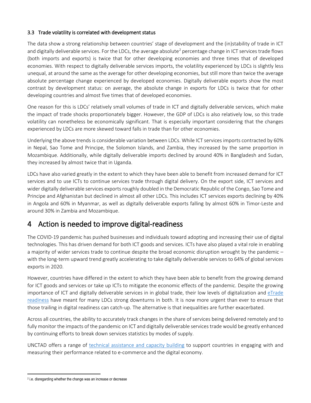### 3.3 Trade volatility is correlated with development status

The data show a strong relationship between countries' stage of development and the (in)stability of trade in ICT and digitally deliverable services. For the LDCs, the average absolute<sup>[2](#page-12-0)</sup> percentage change in ICT services trade flows (both imports and exports) is twice that for other developing economies and three times that of developed economies. With respect to digitally deliverable services imports, the volatility experienced by LDCs is slightly less unequal, at around the same as the average for other developing economies, but still more than twice the average absolute percentage change experienced by developed economies. Digitally deliverable exports show the most contrast by development status: on average, the absolute change in exports for LDCs is twice that for other developing countries and almost five times that of developed economies.

One reason for this is LDCs' relatively small volumes of trade in ICT and digitally deliverable services, which make the impact of trade shocks proportionately bigger. However, the GDP of LDCs is also relatively low, so this trade volatility can nonetheless be economically significant. That is especially important considering that the changes experienced by LDCs are more skewed toward falls in trade than for other economies.

Underlying the above trends is considerable variation between LDCs. While ICT services imports contracted by 60% in Nepal, Sao Tome and Principe, the Solomon Islands, and Zambia, they increased by the same proportion in Mozambique. Additionally, while digitally deliverable imports declined by around 40% in Bangladesh and Sudan, they increased by almost twice that in Uganda.

LDCs have also varied greatly in the extent to which they have been able to benefit from increased demand for ICT services and to use ICTs to continue services trade through digital delivery. On the export side, ICT services and wider digitally deliverable services exports roughly doubled in the Democratic Republic of the Congo, Sao Tome and Principe and Afghanistan but declined in almost all other LDCs. This includes ICT services exports declining by 40% in Angola and 60% in Myanmar, as well as digitally deliverable exports falling by almost 60% in Timor-Leste and around 30% in Zambia and Mozambique.

### 4 Action is needed to improve digital-readiness

The COVID-19 pandemic has pushed businesses and individuals toward adopting and increasing their use of digital technologies. This has driven demand for both ICT goods and services. ICTs have also played a vital role in enabling a majority of wider services trade to continue despite the broad economic disruption wrought by the pandemic – with the long-term upward trend greatly accelerating to take digitally deliverable services to 64% of global services exports in 2020.

However, countries have differed in the extent to which they have been able to benefit from the growing demand for ICT goods and services or take up ICTs to mitigate the economic effects of the pandemic. Despite the growing importance of ICT and digitally deliverable services in in global trade, their low levels of digitalization and [eTrade](https://unctad.org/system/files/official-document/dtlstictmisc2019d8_en.pdf)  [readiness](https://unctad.org/system/files/official-document/dtlstictmisc2019d8_en.pdf) have meant for many LDCs strong downturns in both. It is now more urgent than ever to ensure that those trailing in digital readiness can catch-up. The alternative is that inequalities are further exacerbated.

Across all countries, the ability to accurately track changes in the share of services being delivered remotely and to fully monitor the impacts of the pandemic on ICT and digitally deliverable services trade would be greatly enhanced by continuing efforts to break down services statistics by modes of supply.

UNCTAD offers a range of [technical assistance and capacity building](https://unctad.org/topic/ecommerce-and-digital-economy/measuring-ecommerce-digital-economy) to support countries in engaging with and measuring their performance related to e-commerce and the digital economy.

l

<span id="page-11-0"></span><sup>2</sup> i.e. disregarding whether the change was an increase or decrease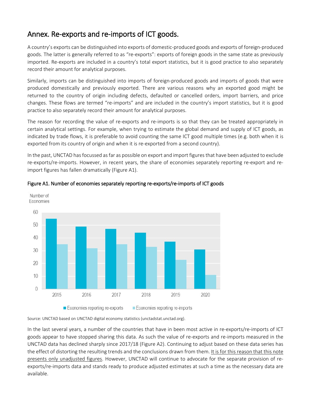## Annex. Re-exports and re-imports of ICT goods.

A country's exports can be distinguished into exports of domestic-produced goods and exports of foreign-produced goods. The latter is generally referred to as "re-exports": exports of foreign goods in the same state as previously imported. Re-exports are included in a country's total export statistics, but it is good practice to also separately record their amount for analytical purposes.

Similarly, imports can be distinguished into imports of foreign-produced goods and imports of goods that were produced domestically and previously exported. There are various reasons why an exported good might be returned to the country of origin including defects, defaulted or cancelled orders, import barriers, and price changes. These flows are termed "re-imports" and are included in the country's import statistics, but it is good practice to also separately record their amount for analytical purposes.

The reason for recording the value of re-exports and re-imports is so that they can be treated appropriately in certain analytical settings. For example, when trying to estimate the global demand and supply of ICT goods, as indicated by trade flows, it is preferable to avoid counting the same ICT good multiple times (e.g. both when it is exported from its country of origin and when it is re-exported from a second country).

In the past, UNCTAD has focussed as far as possible on export and import figures that have been adjusted to exclude re-exports/re-imports. However, in recent years, the share of economies separately reporting re-export and reimport figures has fallen dramatically (Figure A1).



### Figure A1. Number of economies separately reporting re-exports/re-imports of ICT goods

Source: UNCTAD based on UNCTAD digital economy statistics (unctadstat.unctad.org).

<span id="page-12-0"></span>In the last several years, a number of the countries that have in been most active in re-exports/re-imports of ICT goods appear to have stopped sharing this data. As such the value of re-exports and re-imports measured in the UNCTAD data has declined sharply since 2017/18 (Figure A2). Continuing to adjust based on these data series has the effect of distorting the resulting trends and the conclusions drawn from them. It is for this reason that this note presents only unadjusted figures. However, UNCTAD will continue to advocate for the separate provision of reexports/re-imports data and stands ready to produce adjusted estimates at such a time as the necessary data are available.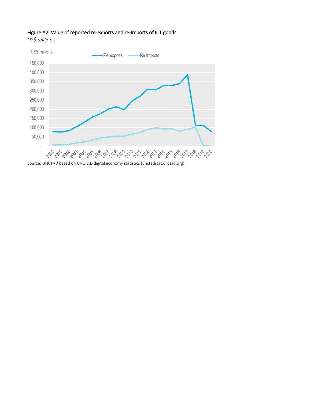### Figure A2. Value of reported re-exports and re-imports of ICT goods.

*US\$ millions*



Source: UNCTAD based on UNCTAD digital economy statistics (unctadstat.unctad.org).